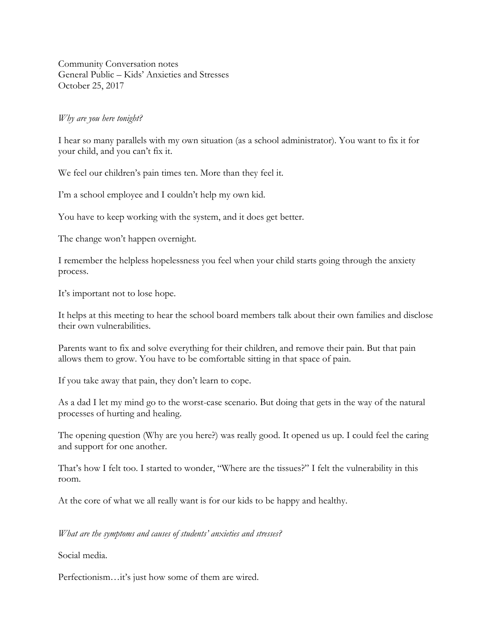Community Conversation notes General Public – Kids' Anxieties and Stresses October 25, 2017

## *Why are you here tonight?*

I hear so many parallels with my own situation (as a school administrator). You want to fix it for your child, and you can't fix it.

We feel our children's pain times ten. More than they feel it.

I'm a school employee and I couldn't help my own kid.

You have to keep working with the system, and it does get better.

The change won't happen overnight.

I remember the helpless hopelessness you feel when your child starts going through the anxiety process.

It's important not to lose hope.

It helps at this meeting to hear the school board members talk about their own families and disclose their own vulnerabilities.

Parents want to fix and solve everything for their children, and remove their pain. But that pain allows them to grow. You have to be comfortable sitting in that space of pain.

If you take away that pain, they don't learn to cope.

As a dad I let my mind go to the worst-case scenario. But doing that gets in the way of the natural processes of hurting and healing.

The opening question (Why are you here?) was really good. It opened us up. I could feel the caring and support for one another.

That's how I felt too. I started to wonder, "Where are the tissues?" I felt the vulnerability in this room.

At the core of what we all really want is for our kids to be happy and healthy.

*What are the symptoms and causes of students' anxieties and stresses?*

Social media.

Perfectionism…it's just how some of them are wired.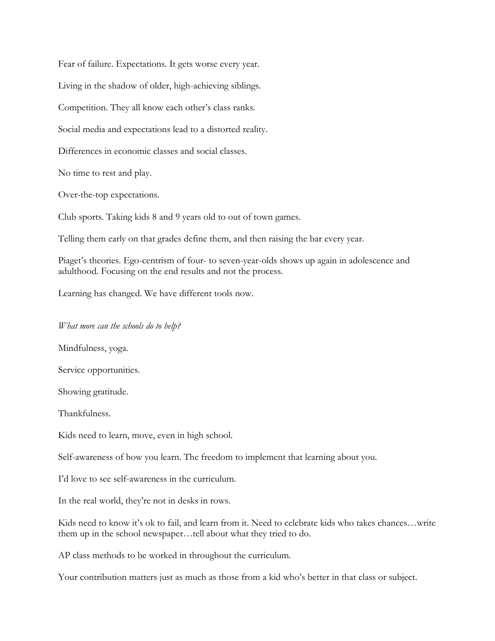Fear of failure. Expectations. It gets worse every year. Living in the shadow of older, high-achieving siblings. Competition. They all know each other's class ranks. Social media and expectations lead to a distorted reality. Differences in economic classes and social classes. No time to rest and play.

Over-the-top expectations.

Club sports. Taking kids 8 and 9 years old to out of town games.

Telling them early on that grades define them, and then raising the bar every year.

Piaget's theories. Ego-centrism of four- to seven-year-olds shows up again in adolescence and adulthood. Focusing on the end results and not the process.

Learning has changed. We have different tools now.

## *What more can the schools do to help?*

Mindfulness, yoga.

Service opportunities.

Showing gratitude.

Thankfulness.

Kids need to learn, move, even in high school.

Self-awareness of how you learn. The freedom to implement that learning about you.

I'd love to see self-awareness in the curriculum.

In the real world, they're not in desks in rows.

Kids need to know it's ok to fail, and learn from it. Need to celebrate kids who takes chances...write them up in the school newspaper…tell about what they tried to do.

AP class methods to be worked in throughout the curriculum.

Your contribution matters just as much as those from a kid who's better in that class or subject.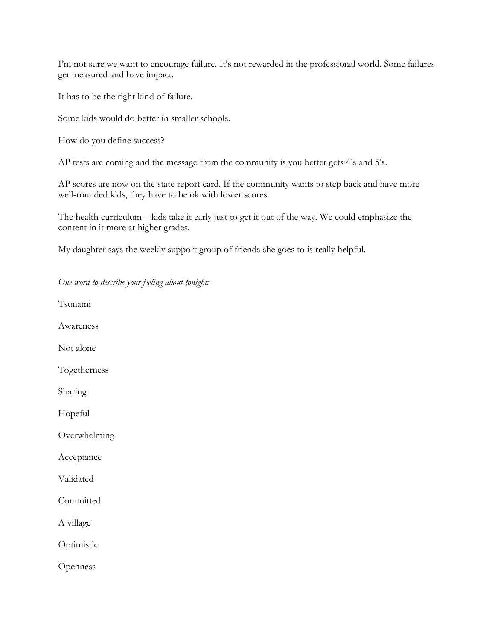I'm not sure we want to encourage failure. It's not rewarded in the professional world. Some failures get measured and have impact.

It has to be the right kind of failure.

Some kids would do better in smaller schools.

How do you define success?

AP tests are coming and the message from the community is you better gets 4's and 5's.

AP scores are now on the state report card. If the community wants to step back and have more well-rounded kids, they have to be ok with lower scores.

The health curriculum – kids take it early just to get it out of the way. We could emphasize the content in it more at higher grades.

My daughter says the weekly support group of friends she goes to is really helpful.

Tsunami Awareness Not alone Togetherness Sharing Hopeful Overwhelming Acceptance Validated **Committed** A village **Optimistic** Openness

*One word to describe your feeling about tonight:*